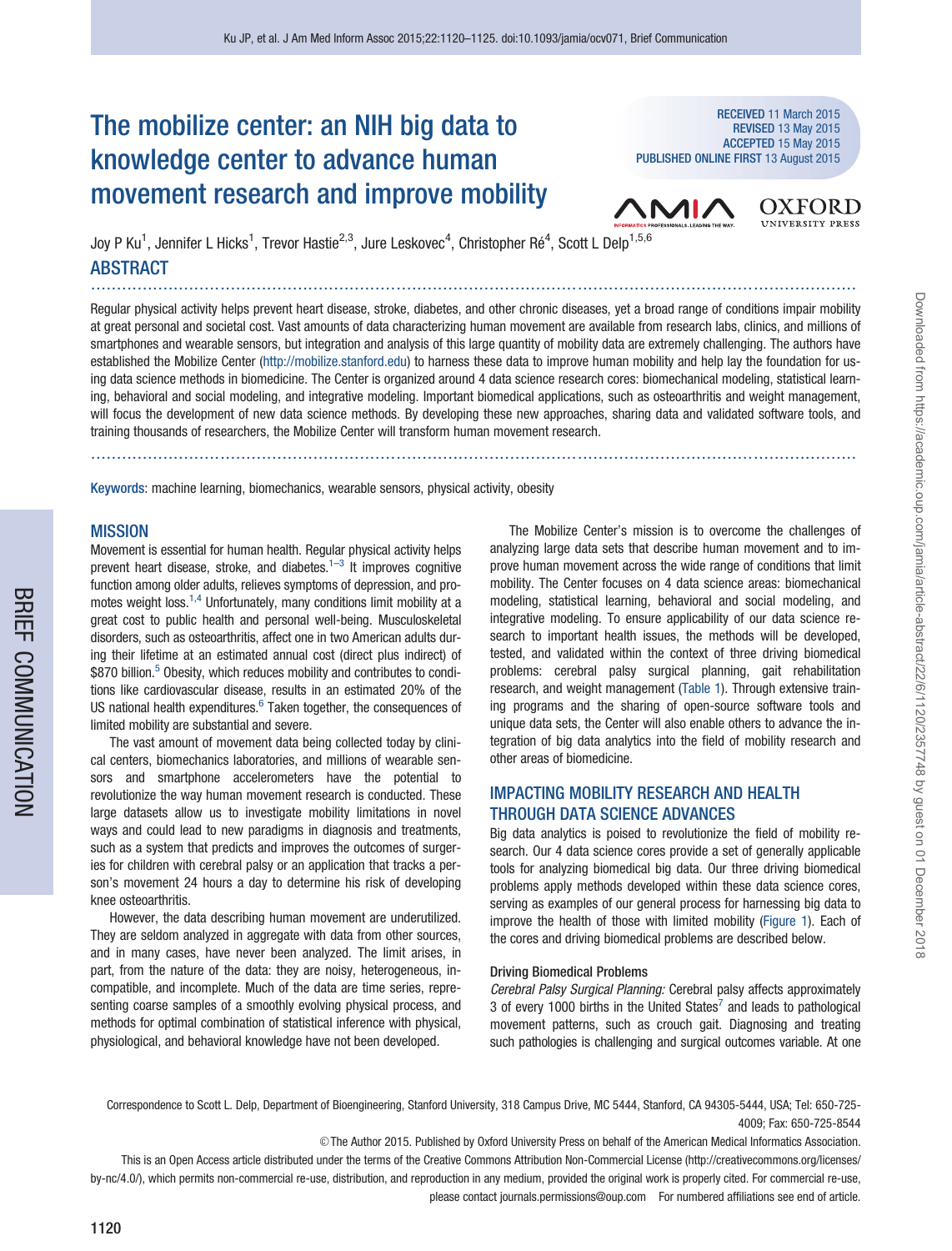# The mobilize center: an NIH big data to knowledge center to advance human movement research and improve mobility

RECEIVED 11 March 2015 REVISED 13 May 2015 ACCEPTED 15 May 2015 PUBLISHED ONLINE FIRST 13 August 2015



Joy P Ku<sup>1</sup>, Jennifer L Hicks<sup>1</sup>, Trevor Hastie<sup>2,3</sup>, Jure Leskovec<sup>4</sup>, Christopher Ré<sup>4</sup>, Scott L Delp<sup>1,5,6</sup> **ABSTRACT** 

Regular physical activity helps prevent heart disease, stroke, diabetes, and other chronic diseases, yet a broad range of conditions impair mobility at great personal and societal cost. Vast amounts of data characterizing human movement are available from research labs, clinics, and millions of smartphones and wearable sensors, but integration and analysis of this large quantity of mobility data are extremely challenging. The authors have established the Mobilize Center ([http://mobilize.stanford.edu\)](http://mobilize.stanford.edu) to harness these data to improve human mobility and help lay the foundation for using data science methods in biomedicine. The Center is organized around 4 data science research cores: biomechanical modeling, statistical learning, behavioral and social modeling, and integrative modeling. Important biomedical applications, such as osteoarthritis and weight management, will focus the development of new data science methods. By developing these new approaches, sharing data and validated software tools, and training thousands of researchers, the Mobilize Center will transform human movement research.

....................................................................................................................................................

Keywords: machine learning, biomechanics, wearable sensors, physical activity, obesity

....................................................................................................................................................

#### MISSION

Movement is essential for human health. Regular physical activity helps prevent heart disease, stroke, and diabetes.<sup>[1–3](#page-4-0)</sup> It improves cognitive function among older adults, relieves symptoms of depression, and promotes weight loss.<sup>1,4</sup> Unfortunately, many conditions limit mobility at a great cost to public health and personal well-being. Musculoskeletal disorders, such as osteoarthritis, affect one in two American adults during their lifetime at an estimated annual cost (direct plus indirect) of \$870 billion.<sup>5</sup> Obesity, which reduces mobility and contributes to conditions like cardiovascular disease, results in an estimated 20% of the US national health expenditures. $6$  Taken together, the consequences of limited mobility are substantial and severe.

The vast amount of movement data being collected today by clinical centers, biomechanics laboratories, and millions of wearable sensors and smartphone accelerometers have the potential to revolutionize the way human movement research is conducted. These large datasets allow us to investigate mobility limitations in novel ways and could lead to new paradigms in diagnosis and treatments, such as a system that predicts and improves the outcomes of surgeries for children with cerebral palsy or an application that tracks a person's movement 24 hours a day to determine his risk of developing knee osteoarthritis.

However, the data describing human movement are underutilized. They are seldom analyzed in aggregate with data from other sources, and in many cases, have never been analyzed. The limit arises, in part, from the nature of the data: they are noisy, heterogeneous, incompatible, and incomplete. Much of the data are time series, representing coarse samples of a smoothly evolving physical process, and methods for optimal combination of statistical inference with physical, physiological, and behavioral knowledge have not been developed.

The Mobilize Center's mission is to overcome the challenges of analyzing large data sets that describe human movement and to improve human movement across the wide range of conditions that limit mobility. The Center focuses on 4 data science areas: biomechanical modeling, statistical learning, behavioral and social modeling, and integrative modeling. To ensure applicability of our data science research to important health issues, the methods will be developed, tested, and validated within the context of three driving biomedical problems: cerebral palsy surgical planning, gait rehabilitation research, and weight management ([Table 1](#page-1-0)). Through extensive training programs and the sharing of open-source software tools and unique data sets, the Center will also enable others to advance the integration of big data analytics into the field of mobility research and other areas of biomedicine.

Downloaded from https://academic.oup.com/jamia/article-abstract/22/6/1120/2357748 by guest on 01 December 2018

Downloaded from https://academic.oup.com/jamia/article-abstract/22/6/1120/2357748 by guest on 01 December 2018

## IMPACTING MOBILITY RESEARCH AND HEALTH THROUGH DATA SCIENCE ADVANCES

Big data analytics is poised to revolutionize the field of mobility research. Our 4 data science cores provide a set of generally applicable tools for analyzing biomedical big data. Our three driving biomedical problems apply methods developed within these data science cores, serving as examples of our general process for harnessing big data to improve the health of those with limited mobility ([Figure 1\)](#page-1-0). Each of the cores and driving biomedical problems are described below.

#### Driving Biomedical Problems

Cerebral Palsy Surgical Planning: Cerebral palsy affects approximately 3 of every 1000 births in the United States $\prime$  and leads to pathological movement patterns, such as crouch gait. Diagnosing and treating such pathologies is challenging and surgical outcomes variable. At one

Correspondence to Scott L. Delp, Department of Bioengineering, Stanford University, 318 Campus Drive, MC 5444, Stanford, CA 94305-5444, USA; Tel: 650-725- 4009; Fax: 650-725-8544

V<sup>C</sup> The Author 2015. Published by Oxford University Press on behalf of the American Medical Informatics Association.

This is an Open Access article distributed under the terms of the Creative Commons Attribution Non-Commercial License (http://creativecommons.org/licenses/ by-nc/4.0/), which permits non-commercial re-use, distribution, and reproduction in any medium, provided the original work is properly cited. For commercial re-use, please contact journals.permissions@oup.com For numbered affiliations see end of article.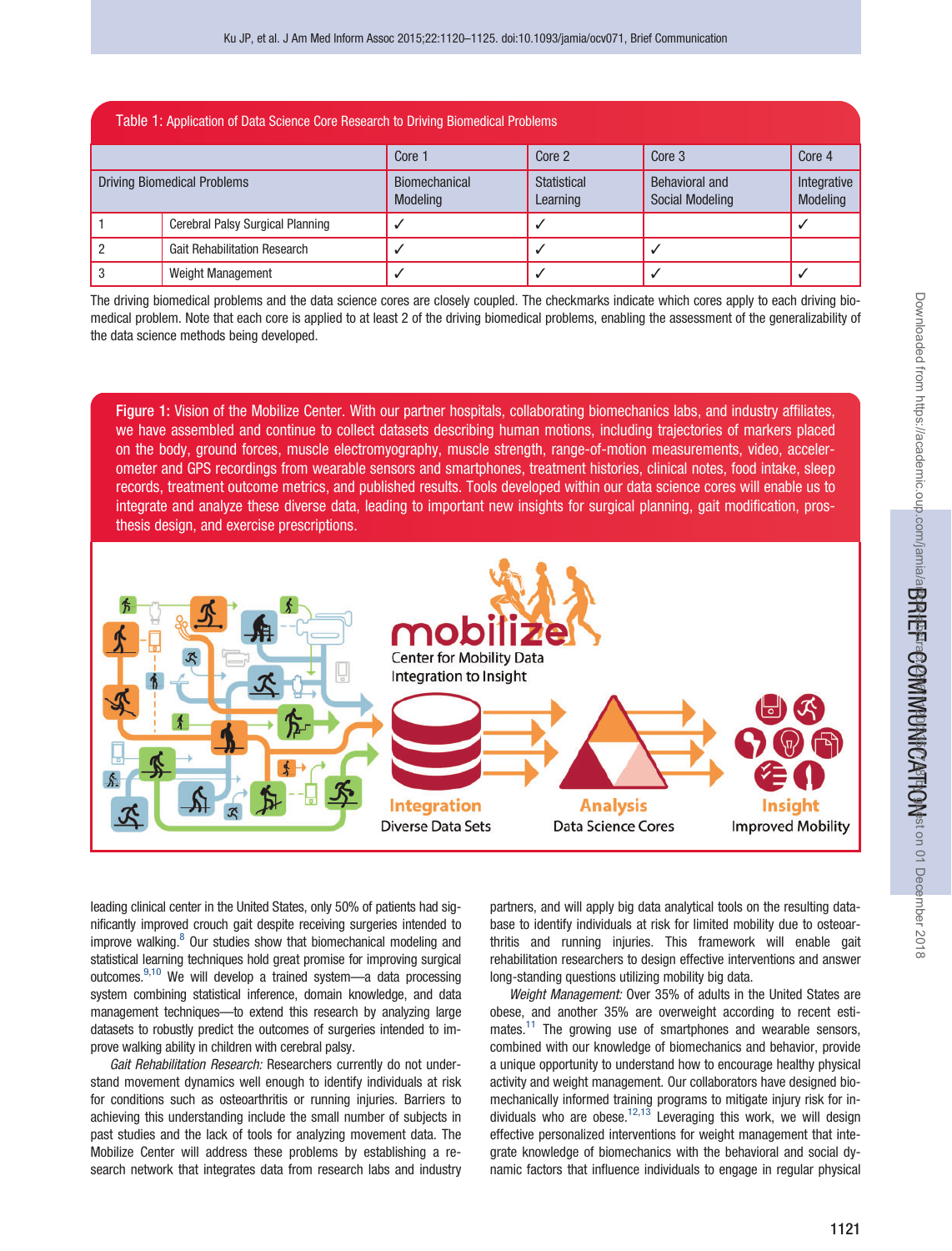<span id="page-1-0"></span>

| Table 1: Application of Data Science Core Research to Driving Biomedical Problems |                                     |                                  |                         |                                          |                         |
|-----------------------------------------------------------------------------------|-------------------------------------|----------------------------------|-------------------------|------------------------------------------|-------------------------|
|                                                                                   |                                     | Core 1                           | Core 2                  | Core 3                                   | Core 4                  |
| <b>Driving Biomedical Problems</b>                                                |                                     | Biomechanical<br><b>Modeling</b> | Statistical<br>Learning | Behavioral and<br><b>Social Modeling</b> | Integrative<br>Modeling |
|                                                                                   | Cerebral Palsy Surgical Planning    |                                  |                         |                                          |                         |
|                                                                                   | <b>Gait Rehabilitation Research</b> |                                  |                         |                                          |                         |
|                                                                                   | <b>Weight Management</b>            |                                  |                         |                                          |                         |

The driving biomedical problems and the data science cores are closely coupled. The checkmarks indicate which cores apply to each driving biomedical problem. Note that each core is applied to at least 2 of the driving biomedical problems, enabling the assessment of the generalizability of the data science methods being developed.

Figure 1: Vision of the Mobilize Center. With our partner hospitals, collaborating biomechanics labs, and industry affiliates, we have assembled and continue to collect datasets describing human motions, including trajectories of markers placed on the body, ground forces, muscle electromyography, muscle strength, range-of-motion measurements, video, accelerometer and GPS recordings from wearable sensors and smartphones, treatment histories, clinical notes, food intake, sleep records, treatment outcome metrics, and published results. Tools developed within our data science cores will enable us to integrate and analyze these diverse data, leading to important new insights for surgical planning, gait modification, prosthesis design, and exercise prescriptions.



leading clinical center in the United States, only 50% of patients had significantly improved crouch gait despite receiving surgeries intended to improve walking. $8$  Our studies show that biomechanical modeling and statistical learning techniques hold great promise for improving surgical outcomes.[9](#page-4-0),[10](#page-4-0) We will develop a trained system—a data processing system combining statistical inference, domain knowledge, and data management techniques—to extend this research by analyzing large datasets to robustly predict the outcomes of surgeries intended to improve walking ability in children with cerebral palsy.

Gait Rehabilitation Research: Researchers currently do not understand movement dynamics well enough to identify individuals at risk for conditions such as osteoarthritis or running injuries. Barriers to achieving this understanding include the small number of subjects in past studies and the lack of tools for analyzing movement data. The Mobilize Center will address these problems by establishing a research network that integrates data from research labs and industry partners, and will apply big data analytical tools on the resulting database to identify individuals at risk for limited mobility due to osteoarthritis and running injuries. This framework will enable gait rehabilitation researchers to design effective interventions and answer long-standing questions utilizing mobility big data.

Weight Management: Over 35% of adults in the United States are obese, and another 35% are overweight according to recent estimates. $11$  The growing use of smartphones and wearable sensors, combined with our knowledge of biomechanics and behavior, provide a unique opportunity to understand how to encourage healthy physical activity and weight management. Our collaborators have designed biomechanically informed training programs to mitigate injury risk for in-dividuals who are obese.<sup>[12](#page-4-0),[13](#page-4-0)</sup> Leveraging this work, we will design effective personalized interventions for weight management that integrate knowledge of biomechanics with the behavioral and social dynamic factors that influence individuals to engage in regular physical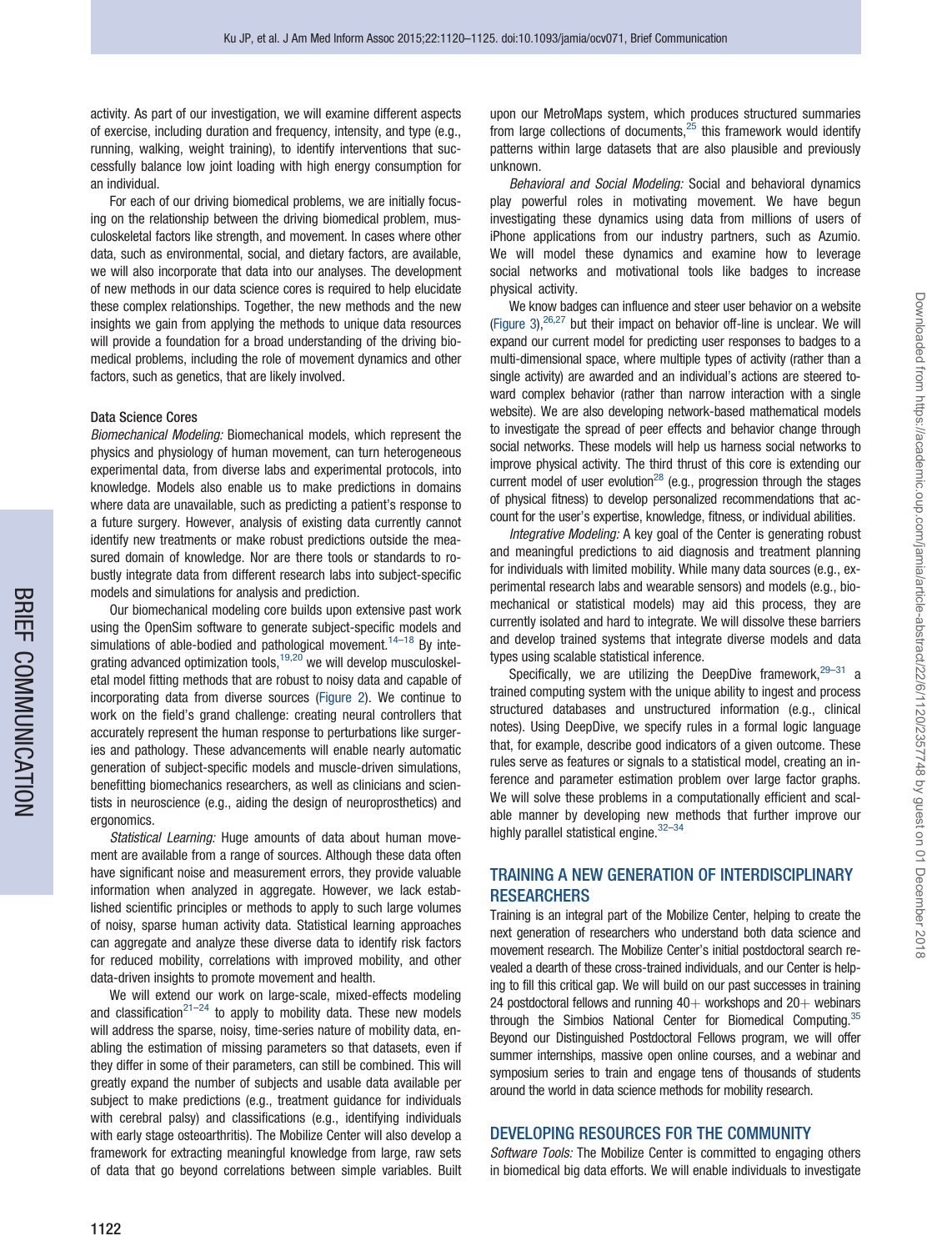activity. As part of our investigation, we will examine different aspects of exercise, including duration and frequency, intensity, and type (e.g., running, walking, weight training), to identify interventions that successfully balance low joint loading with high energy consumption for an individual.

For each of our driving biomedical problems, we are initially focusing on the relationship between the driving biomedical problem, musculoskeletal factors like strength, and movement. In cases where other data, such as environmental, social, and dietary factors, are available, we will also incorporate that data into our analyses. The development of new methods in our data science cores is required to help elucidate these complex relationships. Together, the new methods and the new insights we gain from applying the methods to unique data resources will provide a foundation for a broad understanding of the driving biomedical problems, including the role of movement dynamics and other factors, such as genetics, that are likely involved.

#### Data Science Cores

BRIEF<br>BRIEF

COMMUNICATION

Biomechanical Modeling: Biomechanical models, which represent the physics and physiology of human movement, can turn heterogeneous experimental data, from diverse labs and experimental protocols, into knowledge. Models also enable us to make predictions in domains where data are unavailable, such as predicting a patient's response to a future surgery. However, analysis of existing data currently cannot identify new treatments or make robust predictions outside the measured domain of knowledge. Nor are there tools or standards to robustly integrate data from different research labs into subject-specific models and simulations for analysis and prediction.

Our biomechanical modeling core builds upon extensive past work using the OpenSim software to generate subject-specific models and simulations of able-bodied and pathological movement.<sup>[14](#page-4-0)-[18](#page-5-0)</sup> By inte-grating advanced optimization tools,<sup>[19,20](#page-5-0)</sup> we will develop musculoskeletal model fitting methods that are robust to noisy data and capable of incorporating data from diverse sources ([Figure 2](#page-3-0)). We continue to work on the field's grand challenge: creating neural controllers that accurately represent the human response to perturbations like surgeries and pathology. These advancements will enable nearly automatic generation of subject-specific models and muscle-driven simulations, benefitting biomechanics researchers, as well as clinicians and scientists in neuroscience (e.g., aiding the design of neuroprosthetics) and ergonomics.

Statistical Learning: Huge amounts of data about human movement are available from a range of sources. Although these data often have significant noise and measurement errors, they provide valuable information when analyzed in aggregate. However, we lack established scientific principles or methods to apply to such large volumes of noisy, sparse human activity data. Statistical learning approaches can aggregate and analyze these diverse data to identify risk factors for reduced mobility, correlations with improved mobility, and other data-driven insights to promote movement and health.

We will extend our work on large-scale, mixed-effects modeling and classification $2^{1-24}$  to apply to mobility data. These new models will address the sparse, noisy, time-series nature of mobility data, enabling the estimation of missing parameters so that datasets, even if they differ in some of their parameters, can still be combined. This will greatly expand the number of subjects and usable data available per subject to make predictions (e.g., treatment guidance for individuals with cerebral palsy) and classifications (e.g., identifying individuals with early stage osteoarthritis). The Mobilize Center will also develop a framework for extracting meaningful knowledge from large, raw sets of data that go beyond correlations between simple variables. Built

upon our MetroMaps system, which produces structured summaries from large collections of documents, $25$  this framework would identify patterns within large datasets that are also plausible and previously unknown.

Behavioral and Social Modeling: Social and behavioral dynamics play powerful roles in motivating movement. We have begun investigating these dynamics using data from millions of users of iPhone applications from our industry partners, such as Azumio. We will model these dynamics and examine how to leverage social networks and motivational tools like badges to increase physical activity.

We know badges can influence and steer user behavior on a website ([Figure 3\)](#page-4-0), $26,27$  $26,27$  but their impact on behavior off-line is unclear. We will expand our current model for predicting user responses to badges to a multi-dimensional space, where multiple types of activity (rather than a single activity) are awarded and an individual's actions are steered toward complex behavior (rather than narrow interaction with a single website). We are also developing network-based mathematical models to investigate the spread of peer effects and behavior change through social networks. These models will help us harness social networks to improve physical activity. The third thrust of this core is extending our current model of user evolution<sup>28</sup> (e.g., progression through the stages of physical fitness) to develop personalized recommendations that account for the user's expertise, knowledge, fitness, or individual abilities.

Integrative Modeling: A key goal of the Center is generating robust and meaningful predictions to aid diagnosis and treatment planning for individuals with limited mobility. While many data sources (e.g., experimental research labs and wearable sensors) and models (e.g., biomechanical or statistical models) may aid this process, they are currently isolated and hard to integrate. We will dissolve these barriers and develop trained systems that integrate diverse models and data types using scalable statistical inference.

Specifically, we are utilizing the DeepDive framework, $29-31$  a trained computing system with the unique ability to ingest and process structured databases and unstructured information (e.g., clinical notes). Using DeepDive, we specify rules in a formal logic language that, for example, describe good indicators of a given outcome. These rules serve as features or signals to a statistical model, creating an inference and parameter estimation problem over large factor graphs. We will solve these problems in a computationally efficient and scalable manner by developing new methods that further improve our highly parallel statistical engine. $32-34$ 

### TRAINING A NEW GENERATION OF INTERDISCIPLINARY **RESEARCHERS**

Training is an integral part of the Mobilize Center, helping to create the next generation of researchers who understand both data science and movement research. The Mobilize Center's initial postdoctoral search revealed a dearth of these cross-trained individuals, and our Center is helping to fill this critical gap. We will build on our past successes in training 24 postdoctoral fellows and running  $40+$  workshops and  $20+$  webinars through the Simbios National Center for Biomedical Computing.<sup>35</sup> Beyond our Distinguished Postdoctoral Fellows program, we will offer summer internships, massive open online courses, and a webinar and symposium series to train and engage tens of thousands of students around the world in data science methods for mobility research.

#### DEVELOPING RESOURCES FOR THE COMMUNITY

Software Tools: The Mobilize Center is committed to engaging others in biomedical big data efforts. We will enable individuals to investigate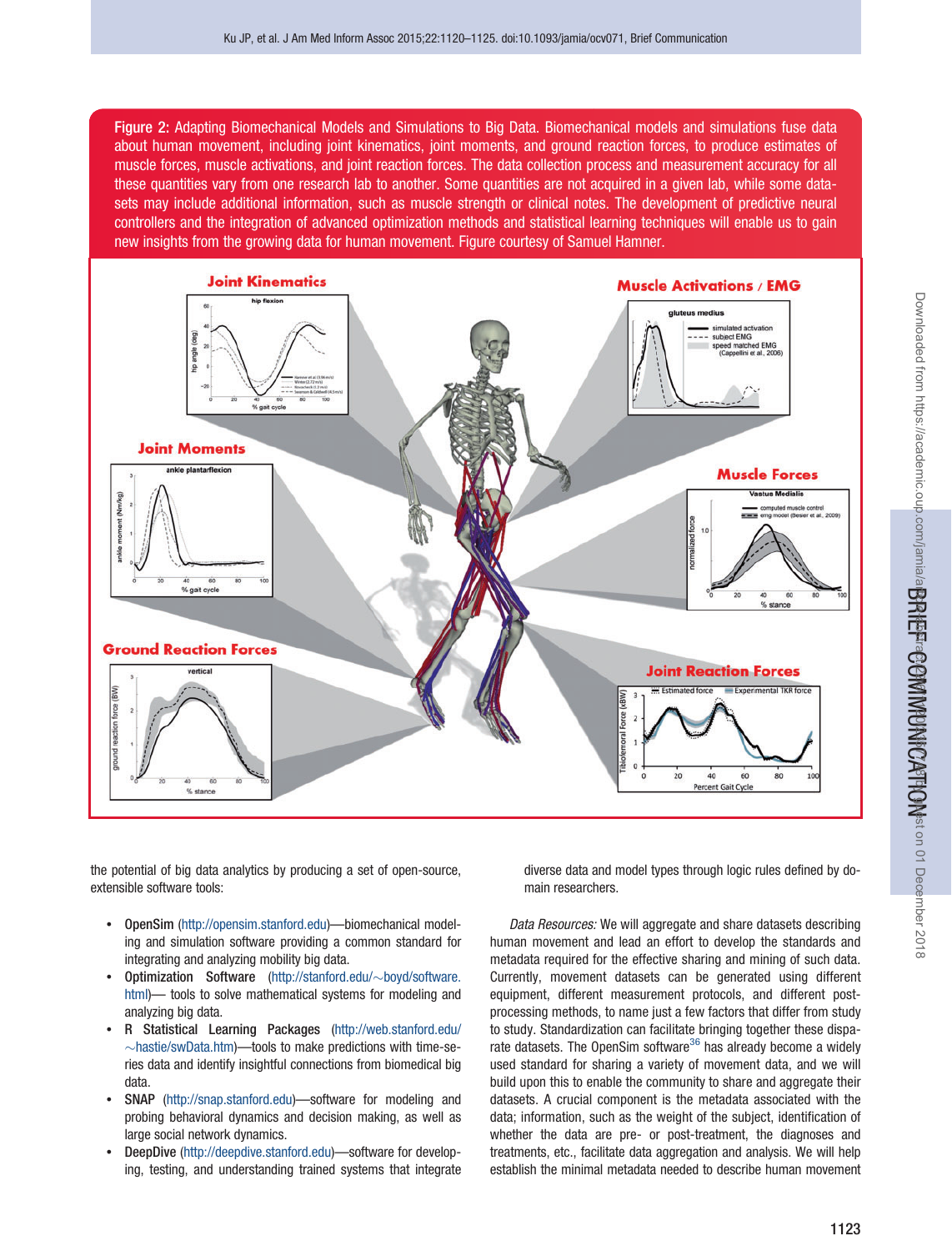<span id="page-3-0"></span>Figure 2: Adapting Biomechanical Models and Simulations to Big Data. Biomechanical models and simulations fuse data about human movement, including joint kinematics, joint moments, and ground reaction forces, to produce estimates of muscle forces, muscle activations, and joint reaction forces. The data collection process and measurement accuracy for all these quantities vary from one research lab to another. Some quantities are not acquired in a given lab, while some datasets may include additional information, such as muscle strength or clinical notes. The development of predictive neural controllers and the integration of advanced optimization methods and statistical learning techniques will enable us to gain new insights from the growing data for human movement. Figure courtesy of Samuel Hamner.



the potential of big data analytics by producing a set of open-source, extensible software tools:

- OpenSim (<http://opensim.stanford.edu>)—biomechanical modeling and simulation software providing a common standard for integrating and analyzing mobility big data.
- Optimization Software ([http://stanford.edu/](http://stanford.edu/~boyd/software.html) $\sim$ [boyd/software.](http://stanford.edu/~boyd/software.html) [html\)](http://stanford.edu/~boyd/software.html)— tools to solve mathematical systems for modeling and analyzing big data.
- R Statistical Learning Packages [\(http://web.stanford.edu/](http://web.stanford.edu/~hastie/swData.htm)  $\sim$ [hastie/swData.htm](http://web.stanford.edu/~hastie/swData.htm))—tools to make predictions with time-series data and identify insightful connections from biomedical big data.
- SNAP [\(http://snap.stanford.edu\)](http://snap.stanford.edu)—software for modeling and probing behavioral dynamics and decision making, as well as large social network dynamics.
- DeepDive (<http://deepdive.stanford.edu>)—software for developing, testing, and understanding trained systems that integrate

diverse data and model types through logic rules defined by domain researchers.

Data Resources: We will aggregate and share datasets describing human movement and lead an effort to develop the standards and metadata required for the effective sharing and mining of such data. Currently, movement datasets can be generated using different equipment, different measurement protocols, and different postprocessing methods, to name just a few factors that differ from study to study. Standardization can facilitate bringing together these disparate datasets. The OpenSim software $36$  has already become a widely used standard for sharing a variety of movement data, and we will build upon this to enable the community to share and aggregate their datasets. A crucial component is the metadata associated with the data; information, such as the weight of the subject, identification of whether the data are pre- or post-treatment, the diagnoses and treatments, etc., facilitate data aggregation and analysis. We will help establish the minimal metadata needed to describe human movement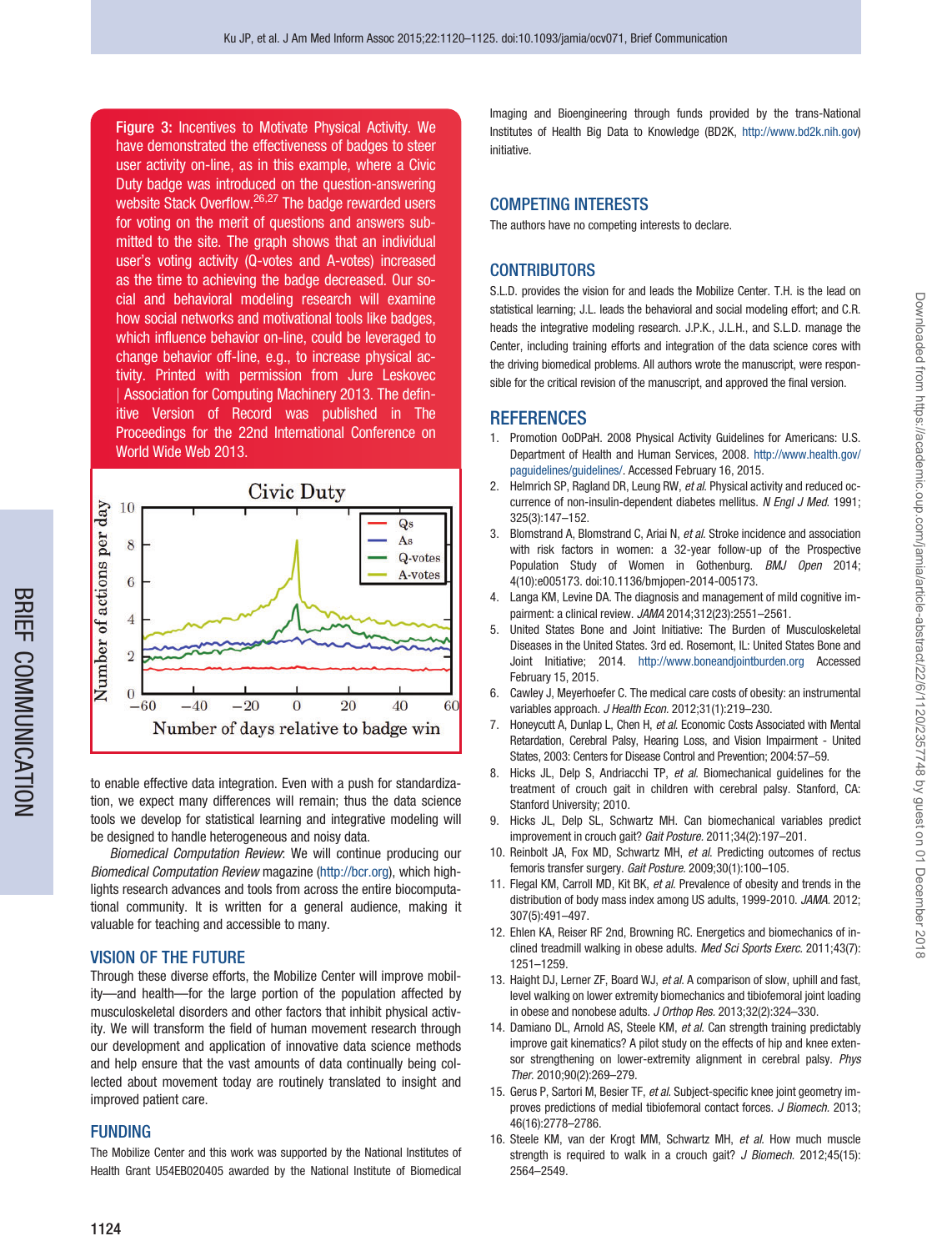<span id="page-4-0"></span>Figure 3: Incentives to Motivate Physical Activity. We have demonstrated the effectiveness of badges to steer user activity on-line, as in this example, where a Civic Duty badge was introduced on the question-answering website Stack Overflow.<sup>[26,27](#page-5-0)</sup> The badge rewarded users for voting on the merit of questions and answers submitted to the site. The graph shows that an individual user's voting activity (Q-votes and A-votes) increased as the time to achieving the badge decreased. Our social and behavioral modeling research will examine how social networks and motivational tools like badges, which influence behavior on-line, could be leveraged to change behavior off-line, e.g., to increase physical activity. Printed with permission from Jure Leskovec j Association for Computing Machinery 2013. The definitive Version of Record was published in The Proceedings for the 22nd International Conference on World Wide Web 2013.



to enable effective data integration. Even with a push for standardization, we expect many differences will remain; thus the data science tools we develop for statistical learning and integrative modeling will be designed to handle heterogeneous and noisy data.

Biomedical Computation Review: We will continue producing our Biomedical Computation Review magazine [\(http://bcr.org](http://bcr.org)), which highlights research advances and tools from across the entire biocomputational community. It is written for a general audience, making it valuable for teaching and accessible to many.

### VISION OF THE FUTURE

Through these diverse efforts, the Mobilize Center will improve mobility—and health—for the large portion of the population affected by musculoskeletal disorders and other factors that inhibit physical activity. We will transform the field of human movement research through our development and application of innovative data science methods and help ensure that the vast amounts of data continually being collected about movement today are routinely translated to insight and improved patient care.

### FUNDING

The Mobilize Center and this work was supported by the National Institutes of Health Grant U54EB020405 awarded by the National Institute of Biomedical

Imaging and Bioengineering through funds provided by the trans-National Institutes of Health Big Data to Knowledge (BD2K, [http://www.bd2k.nih.gov\)](http://www.bd2k.nih.gov) initiative.

## COMPETING INTERESTS

The authors have no competing interests to declare.

# **CONTRIBUTORS**

S.L.D. provides the vision for and leads the Mobilize Center. T.H. is the lead on statistical learning; J.L. leads the behavioral and social modeling effort; and C.R. heads the integrative modeling research. J.P.K., J.L.H., and S.L.D. manage the Center, including training efforts and integration of the data science cores with the driving biomedical problems. All authors wrote the manuscript, were responsible for the critical revision of the manuscript, and approved the final version.

## **REFERENCES**

- 1. Promotion OoDPaH. 2008 Physical Activity Guidelines for Americans: U.S. Department of Health and Human Services, 2008. [http://www.health.gov/](http://www.health.gov/paguidelines/guidelines/) [paguidelines/guidelines/.](http://www.health.gov/paguidelines/guidelines/) Accessed February 16, 2015.
- 2. Helmrich SP, Ragland DR, Leung RW, et al. Physical activity and reduced occurrence of non-insulin-dependent diabetes mellitus. N Engl J Med. 1991; 325(3):147–152.
- 3. Blomstrand A, Blomstrand C, Ariai N, et al. Stroke incidence and association with risk factors in women: a 32-year follow-up of the Prospective Population Study of Women in Gothenburg. BMJ Open 2014; 4(10):e005173. doi:10.1136/bmjopen-2014-005173.
- 4. Langa KM, Levine DA. The diagnosis and management of mild cognitive impairment: a clinical review. JAMA 2014;312(23):2551–2561.
- 5. United States Bone and Joint Initiative: The Burden of Musculoskeletal Diseases in the United States. 3rd ed. Rosemont, IL: United States Bone and Joint Initiative; 2014. <http://www.boneandjointburden.org> Accessed February 15, 2015.
- 6. Cawley J, Meyerhoefer C. The medical care costs of obesity: an instrumental variables approach. J Health Econ. 2012;31(1):219-230.
- 7. Honeycutt A, Dunlap L, Chen H, et al. Economic Costs Associated with Mental Retardation, Cerebral Palsy, Hearing Loss, and Vision Impairment - United States, 2003: Centers for Disease Control and Prevention; 2004:57–59.
- 8. Hicks JL, Delp S, Andriacchi TP, et al. Biomechanical guidelines for the treatment of crouch gait in children with cerebral palsy. Stanford, CA: Stanford University; 2010.
- 9. Hicks JL, Delp SL, Schwartz MH. Can biomechanical variables predict improvement in crouch gait? Gait Posture. 2011;34(2):197–201.
- 10. Reinbolt JA, Fox MD, Schwartz MH, et al. Predicting outcomes of rectus femoris transfer surgery. Gait Posture. 2009;30(1):100–105.
- 11. Flegal KM, Carroll MD, Kit BK, et al. Prevalence of obesity and trends in the distribution of body mass index among US adults, 1999-2010. JAMA. 2012; 307(5):491–497.
- 12. Ehlen KA, Reiser RF 2nd, Browning RC. Energetics and biomechanics of inclined treadmill walking in obese adults. Med Sci Sports Exerc. 2011;43(7): 1251–1259.
- 13. Haight DJ, Lerner ZF, Board WJ, et al. A comparison of slow, uphill and fast, level walking on lower extremity biomechanics and tibiofemoral joint loading in obese and nonobese adults. J Orthop Res. 2013;32(2):324–330.
- 14. Damiano DL, Arnold AS, Steele KM, et al. Can strength training predictably improve gait kinematics? A pilot study on the effects of hip and knee extensor strengthening on lower-extremity alignment in cerebral palsy. Phys Ther. 2010;90(2):269–279.
- 15. Gerus P, Sartori M, Besier TF, et al. Subject-specific knee joint geometry improves predictions of medial tibiofemoral contact forces. J Biomech. 2013; 46(16):2778–2786.
- 16. Steele KM, van der Krogt MM, Schwartz MH, et al. How much muscle strength is required to walk in a crouch gait? J Biomech. 2012;45(15): 2564–2549.

Downloaded from https://academic.oup.com/jamia/article-abstract/22/6/1120/2357748 by guest on 01 December 2018 Downloaded from https://academic.oup.com/jamia/article-abstract/22/6/1120/2357748 by guest on 01 December 2018